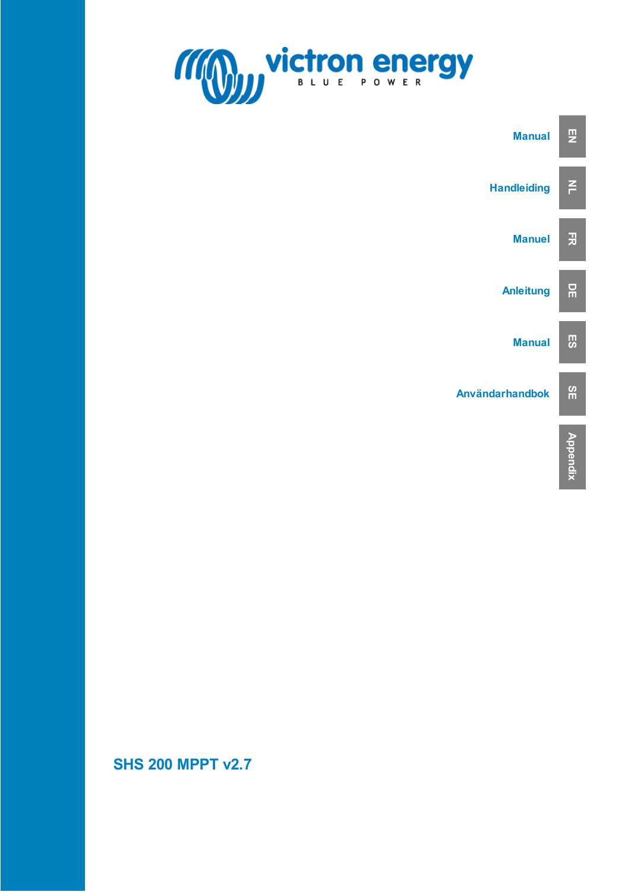



**SHS 200 MPPT v2.7**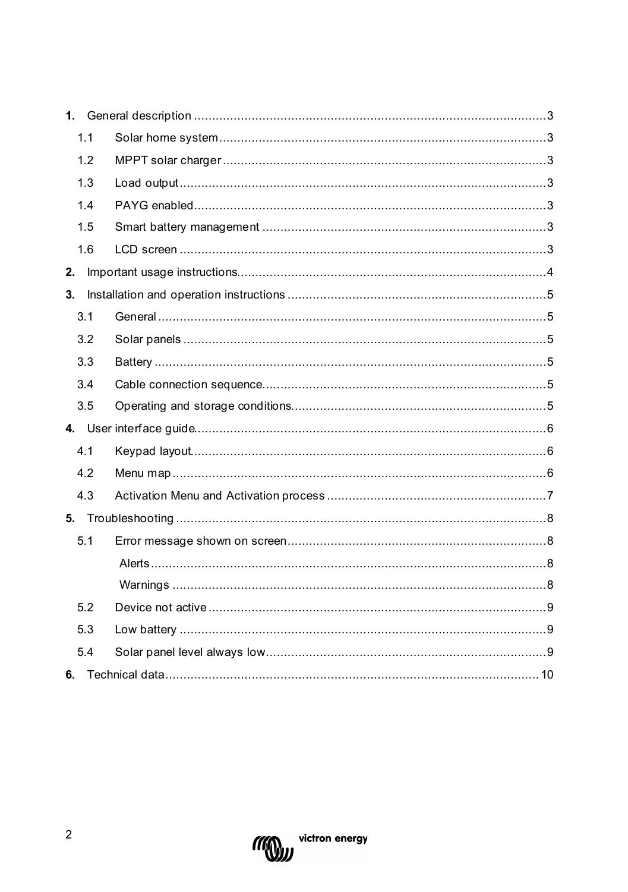| 1.1 |  |  |
|-----|--|--|
| 1.2 |  |  |
| 1.3 |  |  |
| 1.4 |  |  |
| 1.5 |  |  |
| 1.6 |  |  |
| 2.  |  |  |
| 3.  |  |  |
| 3.1 |  |  |
| 3.2 |  |  |
| 3.3 |  |  |
| 3.4 |  |  |
| 3.5 |  |  |
|     |  |  |
| 4.1 |  |  |
| 4.2 |  |  |
| 4.3 |  |  |
|     |  |  |
| 5.1 |  |  |
|     |  |  |
|     |  |  |
| 5.2 |  |  |
| 5.3 |  |  |
| 5.4 |  |  |
| 6.  |  |  |

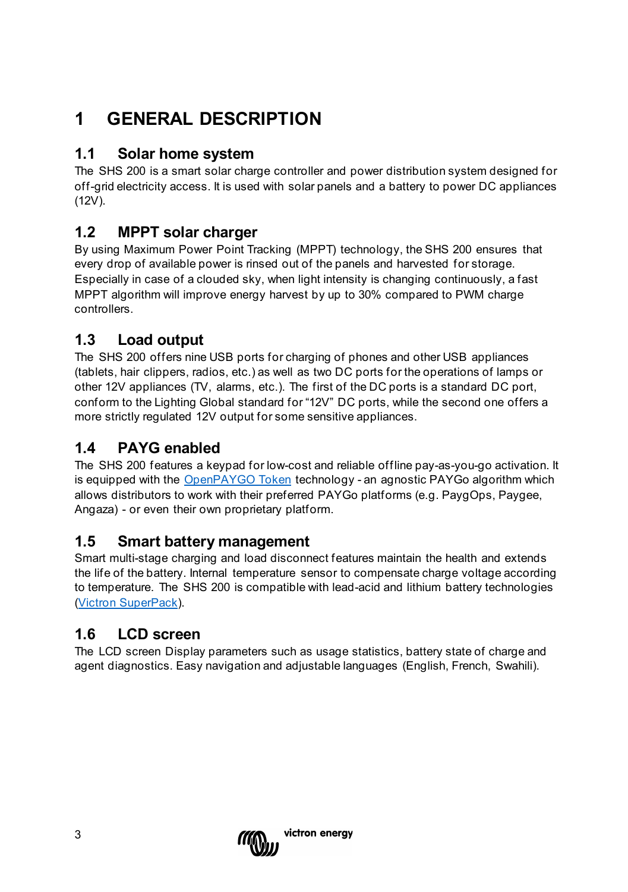## <span id="page-2-0"></span>**1 GENERAL DESCRIPTION**

### <span id="page-2-1"></span>**1.1 Solar home system**

The SHS 200 is a smart solar charge controller and power distribution system designed for off-grid electricity access. It is used with solar panels and a battery to power DC appliances (12V).

### <span id="page-2-2"></span>**1.2 MPPT solar charger**

By using Maximum Power Point Tracking (MPPT) technology, the SHS 200 ensures that every drop of available power is rinsed out of the panels and harvested for storage. Especially in case of a clouded sky, when light intensity is changing continuously, a fast MPPT algorithm will improve energy harvest by up to 30% compared to PWM charge controllers.

### <span id="page-2-3"></span>**1.3 Load output**

The SHS 200 offers nine USB ports for charging of phones and other USB appliances (tablets, hair clippers, radios, etc.) as well as two DC ports for the operations of lamps or other 12V appliances (TV, alarms, etc.). The first of the DC ports is a standard DC port, conform to the Lighting Global standard for "12V" DC ports, while the second one offers a more strictly regulated 12V output for some sensitive appliances.

### <span id="page-2-4"></span>**1.4 PAYG enabled**

The SHS 200 features a keypad for low-cost and reliable offline pay-as-you-go activation. It is equipped with th[e OpenPAYGO Token](https://www.paygops.com/openpaygotoken) technology - an agnostic PAYGo algorithm which allows distributors to work with their preferred PAYGo platforms (e.g. PaygOps, Paygee, Angaza) - or even their own proprietary platform.

#### <span id="page-2-5"></span>**1.5 Smart battery management**

Smart multi-stage charging and load disconnect features maintain the health and extends the life of the battery. Internal temperature sensor to compensate charge voltage according to temperature. The SHS 200 is compatible with lead-acid and lithium battery technologies [\(Victron SuperPack\)](https://www.victronenergy.com/batteries/12,8v-lithium-superpack).

#### <span id="page-2-6"></span>**1.6 LCD screen**

The LCD screen Display parameters such as usage statistics, battery state of charge and agent diagnostics. Easy navigation and adjustable languages (English, French, Swahili).

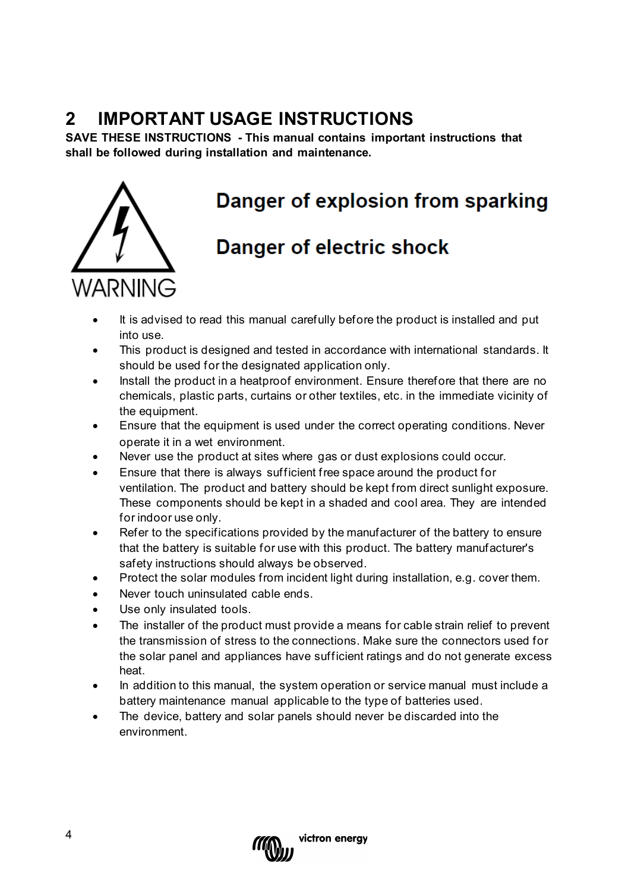## <span id="page-3-0"></span>**2 IMPORTANT USAGE INSTRUCTIONS**

**SAVE THESE INSTRUCTIONS - This manual contains important instructions that shall be followed during installation and maintenance.**



# Danger of explosion from sparking

## **Danger of electric shock**

- It is advised to read this manual carefully before the product is installed and put into use.
- This product is designed and tested in accordance with international standards. It should be used for the designated application only.
- Install the product in a heatproof environment. Ensure therefore that there are no chemicals, plastic parts, curtains or other textiles, etc. in the immediate vicinity of the equipment.
- Ensure that the equipment is used under the correct operating conditions. Never operate it in a wet environment.
- Never use the product at sites where gas or dust explosions could occur.
- Ensure that there is always sufficient free space around the product for ventilation. The product and battery should be kept from direct sunlight exposure. These components should be kept in a shaded and cool area. They are intended for indoor use only.
- Refer to the specifications provided by the manufacturer of the battery to ensure that the battery is suitable for use with this product. The battery manufacturer's safety instructions should always be observed.
- Protect the solar modules from incident light during installation, e.g. cover them.
- Never touch uninsulated cable ends.
- Use only insulated tools.
- The installer of the product must provide a means for cable strain relief to prevent the transmission of stress to the connections. Make sure the connectors used for the solar panel and appliances have sufficient ratings and do not generate excess heat.
- In addition to this manual, the system operation or service manual must include a battery maintenance manual applicable to the type of batteries used.
- The device, battery and solar panels should never be discarded into the environment.

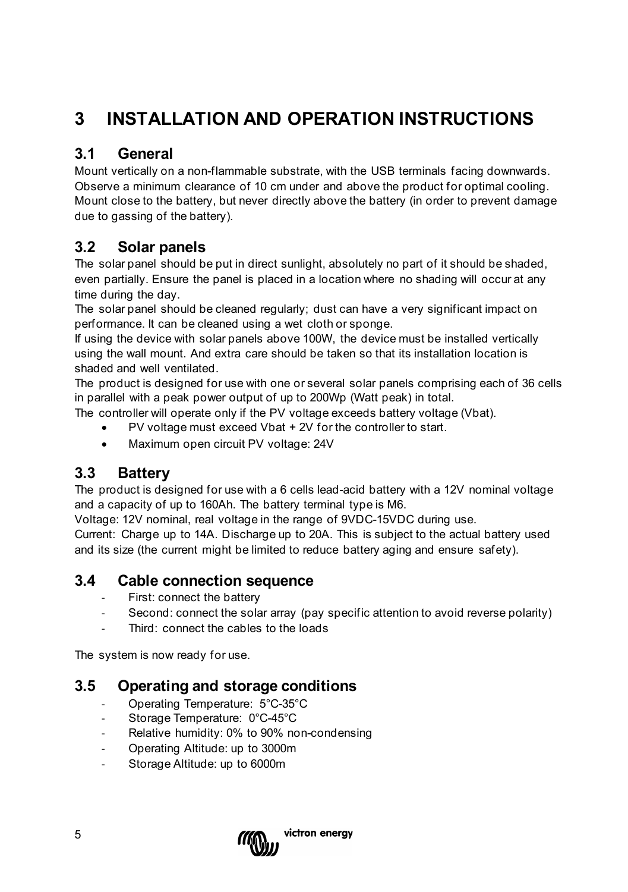## <span id="page-4-0"></span>**3 INSTALLATION AND OPERATION INSTRUCTIONS**

### <span id="page-4-1"></span>**3.1 General**

Mount vertically on a non-flammable substrate, with the USB terminals facing downwards. Observe a minimum clearance of 10 cm under and above the product for optimal cooling. Mount close to the battery, but never directly above the battery (in order to prevent damage due to gassing of the battery).

#### <span id="page-4-2"></span>**3.2 Solar panels**

The solar panel should be put in direct sunlight, absolutely no part of it should be shaded, even partially. Ensure the panel is placed in a location where no shading will occur at any time during the day.

The solar panel should be cleaned regularly; dust can have a very significant impact on performance. It can be cleaned using a wet cloth or sponge.

If using the device with solar panels above 100W, the device must be installed vertically using the wall mount. And extra care should be taken so that its installation location is shaded and well ventilated.

The product is designed for use with one or several solar panels comprising each of 36 cells in parallel with a peak power output of up to 200Wp (Watt peak) in total.

The controller will operate only if the PV voltage exceeds battery voltage (Vbat).

- PV voltage must exceed Vbat + 2V for the controller to start.
- Maximum open circuit PV voltage: 24V

#### <span id="page-4-3"></span>**3.3 Battery**

The product is designed for use with a 6 cells lead-acid battery with a 12V nominal voltage and a capacity of up to 160Ah. The battery terminal type is M6.

Voltage: 12V nominal, real voltage in the range of 9VDC-15VDC during use.

Current: Charge up to 14A. Discharge up to 20A. This is subject to the actual battery used and its size (the current might be limited to reduce battery aging and ensure safety).

#### <span id="page-4-4"></span>**3.4 Cable connection sequence**

- First: connect the battery
- Second: connect the solar array (pay specific attention to avoid reverse polarity)
- Third: connect the cables to the loads

The system is now ready for use.

#### <span id="page-4-5"></span>**3.5 Operating and storage conditions**

- Operating Temperature: 5°C-35°C
- Storage Temperature: 0°C-45°C
- Relative humidity: 0% to 90% non-condensing
- Operating Altitude: up to 3000m
- Storage Altitude: up to 6000m

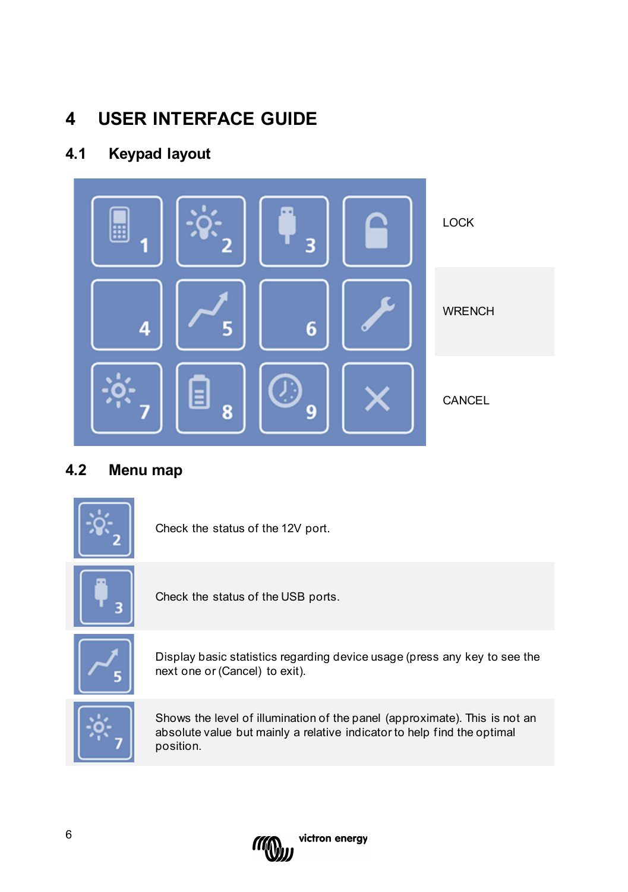## <span id="page-5-0"></span>**4 USER INTERFACE GUIDE**

## <span id="page-5-1"></span>**4.1 Keypad layout**



### <span id="page-5-2"></span>**4.2 Menu map**



Check the status of the 12V port.



Check the status of the USB ports.



Display basic statistics regarding device usage (press any key to see the next one or (Cancel) to exit).



Shows the level of illumination of the panel (approximate). This is not an absolute value but mainly a relative indicator to help find the optimal position.

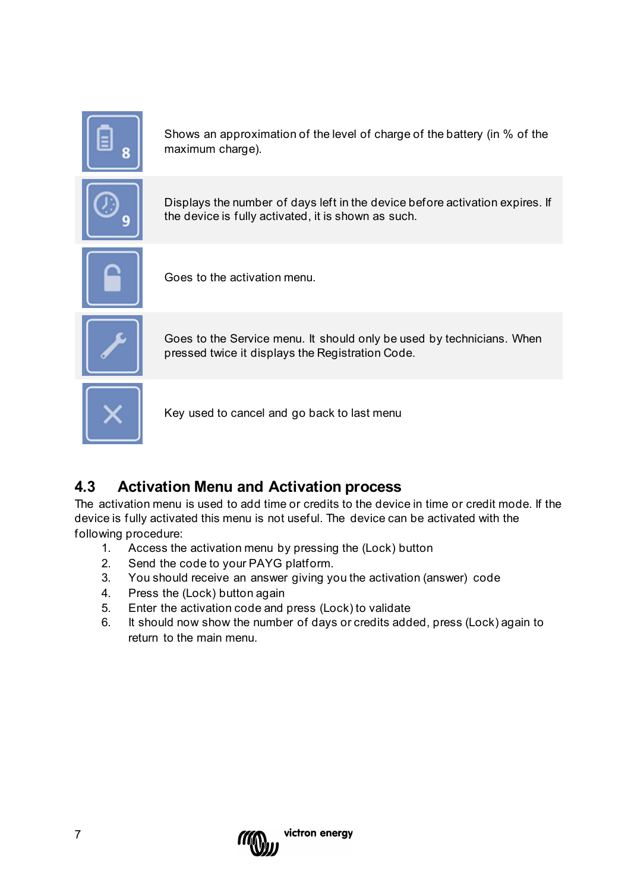

Shows an approximation of the level of charge of the battery (in % of the maximum charge).



Displays the number of days left in the device before activation expires. If the device is fully activated, it is shown as such.



Goes to the activation menu.



Goes to the Service menu. It should only be used by technicians. When pressed twice it displays the Registration Code.



Key used to cancel and go back to last menu

#### <span id="page-6-0"></span>**4.3 Activation Menu and Activation process**

The activation menu is used to add time or credits to the device in time or credit mode. If the device is fully activated this menu is not useful. The device can be activated with the following procedure:

- 1. Access the activation menu by pressing the (Lock) button
- 2. Send the code to your PAYG platform.
- 3. You should receive an answer giving you the activation (answer) code
- 4. Press the (Lock) button again
- 5. Enter the activation code and press (Lock) to validate
- 6. It should now show the number of days or credits added, press (Lock) again to return to the main menu.

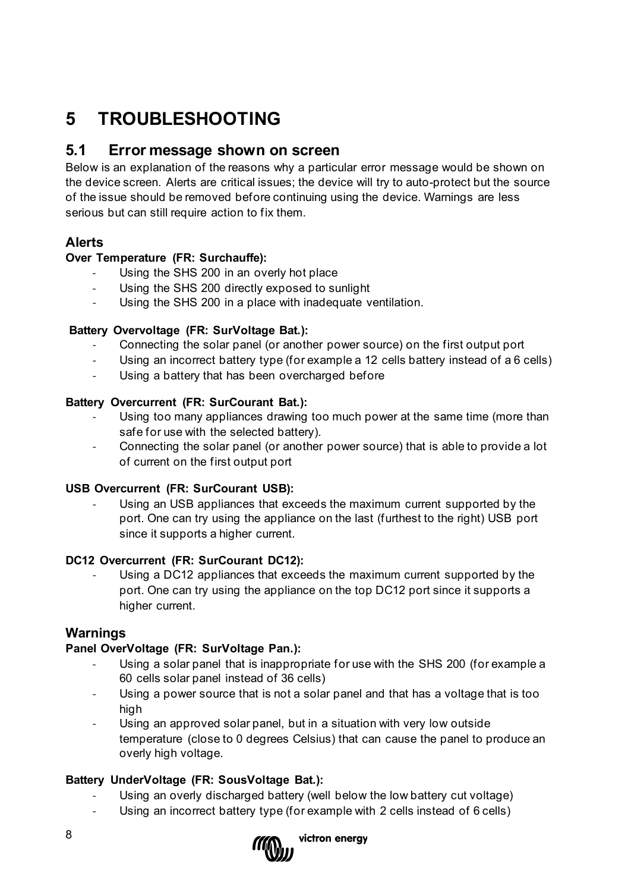## <span id="page-7-0"></span>**5 TROUBLESHOOTING**

#### <span id="page-7-1"></span>**5.1 Error message shown on screen**

Below is an explanation of the reasons why a particular error message would be shown on the device screen. Alerts are critical issues; the device will try to auto-protect but the source of the issue should be removed before continuing using the device. Warnings are less serious but can still require action to fix them.

#### <span id="page-7-2"></span>**Alerts**

#### **Over Temperature (FR: Surchauffe):**

- Using the SHS 200 in an overly hot place
- Using the SHS 200 directly exposed to sunlight
- Using the SHS 200 in a place with inadequate ventilation.

#### **Battery Overvoltage (FR: SurVoltage Bat.):**

- Connecting the solar panel (or another power source) on the first output port
- Using an incorrect battery type (for example a 12 cells battery instead of a 6 cells)
- Using a battery that has been overcharged before

#### **Battery Overcurrent (FR: SurCourant Bat.):**

- Using too many appliances drawing too much power at the same time (more than safe for use with the selected battery).
- Connecting the solar panel (or another power source) that is able to provide a lot of current on the first output port

#### **USB Overcurrent (FR: SurCourant USB):**

Using an USB appliances that exceeds the maximum current supported by the port. One can try using the appliance on the last (furthest to the right) USB port since it supports a higher current.

#### **DC12 Overcurrent (FR: SurCourant DC12):**

Using a DC12 appliances that exceeds the maximum current supported by the port. One can try using the appliance on the top DC12 port since it supports a higher current.

#### <span id="page-7-3"></span>**Warnings**

#### **Panel OverVoltage (FR: SurVoltage Pan.):**

- Using a solar panel that is inappropriate for use with the SHS 200 (for example a 60 cells solar panel instead of 36 cells)
- Using a power source that is not a solar panel and that has a voltage that is too high
- Using an approved solar panel, but in a situation with very low outside temperature (close to 0 degrees Celsius) that can cause the panel to produce an overly high voltage.

#### **Battery UnderVoltage (FR: SousVoltage Bat.):**

- Using an overly discharged battery (well below the low battery cut voltage)
- Using an incorrect battery type (for example with 2 cells instead of 6 cells)

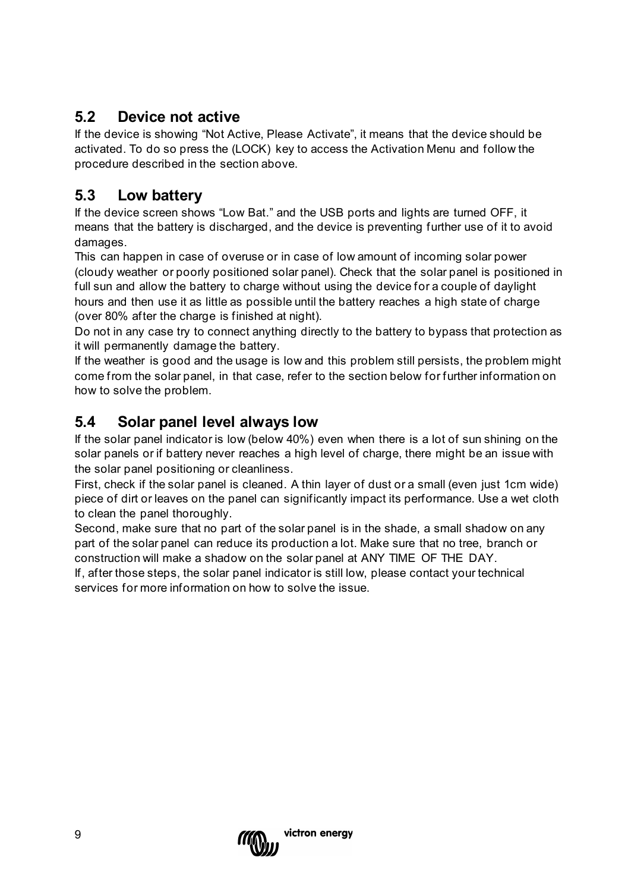### <span id="page-8-0"></span>**5.2 Device not active**

If the device is showing "Not Active, Please Activate", it means that the device should be activated. To do so press the (LOCK) key to access the Activation Menu and follow the procedure described in the section above.

## <span id="page-8-1"></span>**5.3 Low battery**

If the device screen shows "Low Bat." and the USB ports and lights are turned OFF, it means that the battery is discharged, and the device is preventing further use of it to avoid damages.

This can happen in case of overuse or in case of low amount of incoming solar power (cloudy weather or poorly positioned solar panel). Check that the solar panel is positioned in full sun and allow the battery to charge without using the device for a couple of daylight hours and then use it as little as possible until the battery reaches a high state of charge (over 80% after the charge is finished at night).

Do not in any case try to connect anything directly to the battery to bypass that protection as it will permanently damage the battery.

If the weather is good and the usage is low and this problem still persists, the problem might come from the solar panel, in that case, refer to the section below for further information on how to solve the problem.

### <span id="page-8-2"></span>**5.4 Solar panel level always low**

If the solar panel indicator is low (below 40%) even when there is a lot of sun shining on the solar panels or if battery never reaches a high level of charge, there might be an issue with the solar panel positioning or cleanliness.

First, check if the solar panel is cleaned. A thin layer of dust or a small (even just 1cm wide) piece of dirt or leaves on the panel can significantly impact its performance. Use a wet cloth to clean the panel thoroughly.

Second, make sure that no part of the solar panel is in the shade, a small shadow on any part of the solar panel can reduce its production a lot. Make sure that no tree, branch or construction will make a shadow on the solar panel at ANY TIME OF THE DAY.

If, after those steps, the solar panel indicator is still low, please contact your technical services for more information on how to solve the issue.

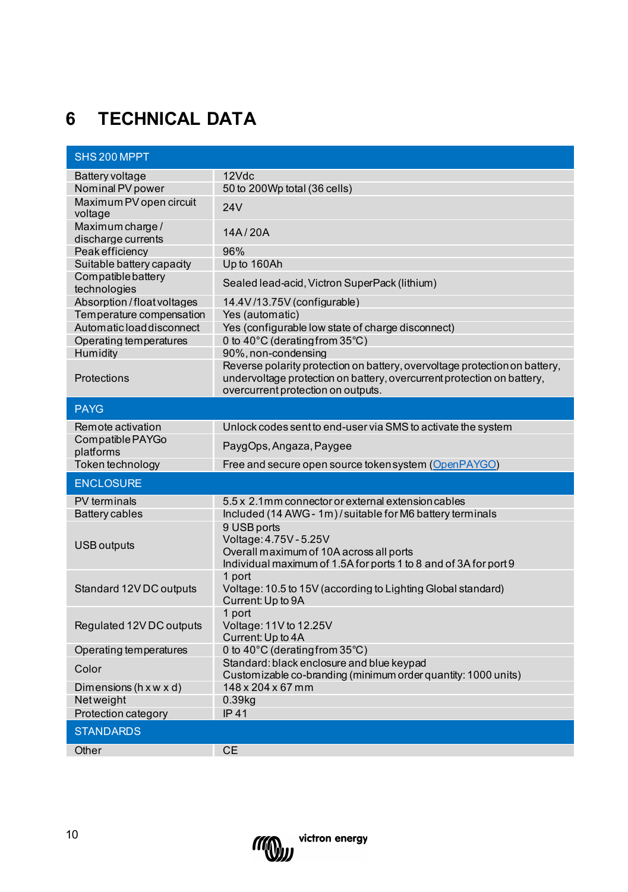## <span id="page-9-0"></span>**6 TECHNICAL DATA**

|                                        | SHS 200 MPPT                                                                                                                                                                               |  |  |  |  |
|----------------------------------------|--------------------------------------------------------------------------------------------------------------------------------------------------------------------------------------------|--|--|--|--|
| Battery voltage                        | 12Vdc                                                                                                                                                                                      |  |  |  |  |
| Nominal PV power                       | 50 to 200Wp total (36 cells)                                                                                                                                                               |  |  |  |  |
| Maximum PV open circuit<br>voltage     | 24V                                                                                                                                                                                        |  |  |  |  |
| Maximum charge /<br>discharge currents | 14A/20A                                                                                                                                                                                    |  |  |  |  |
| Peak efficiency                        | 96%                                                                                                                                                                                        |  |  |  |  |
| Suitable battery capacity              | Up to 160Ah                                                                                                                                                                                |  |  |  |  |
| Compatiblebattery<br>technologies      | Sealed lead-acid, Victron SuperPack (lithium)                                                                                                                                              |  |  |  |  |
| Absorption / float voltages            | 14.4V/13.75V (configurable)                                                                                                                                                                |  |  |  |  |
| Temperature compensation               | Yes (automatic)                                                                                                                                                                            |  |  |  |  |
| Automatic load disconnect              | Yes (configurable low state of charge disconnect)                                                                                                                                          |  |  |  |  |
| Operating temperatures                 | 0 to 40°C (derating from 35°C)                                                                                                                                                             |  |  |  |  |
| Humidity                               | 90%, non-condensing                                                                                                                                                                        |  |  |  |  |
| Protections                            | Reverse polarity protection on battery, overvoltage protection on battery,<br>undervoltage protection on battery, overcurrent protection on battery,<br>overcurrent protection on outputs. |  |  |  |  |
| <b>PAYG</b>                            |                                                                                                                                                                                            |  |  |  |  |
| Remote activation                      | Unlock codes sent to end-user via SMS to activate the system                                                                                                                               |  |  |  |  |
| Compatible PAYGo                       | PaygOps, Angaza, Paygee                                                                                                                                                                    |  |  |  |  |
| platforms                              |                                                                                                                                                                                            |  |  |  |  |
| Token technology                       | Free and secure open source token system (OpenPAYGO)                                                                                                                                       |  |  |  |  |
| <b>ENCLOSURE</b>                       |                                                                                                                                                                                            |  |  |  |  |
| <b>PV</b> terminals                    | 5.5 x 2.1mm connector or external extension cables                                                                                                                                         |  |  |  |  |
|                                        |                                                                                                                                                                                            |  |  |  |  |
| Battery cables                         | Included (14 AWG - 1m)/suitable for M6 battery terminals                                                                                                                                   |  |  |  |  |
| <b>USB</b> outputs                     | 9 USB ports<br>Voltage: 4.75V - 5.25V<br>Overall maximum of 10A across all ports                                                                                                           |  |  |  |  |
|                                        | Individual maximum of 1.5A for ports 1 to 8 and of 3A for port 9                                                                                                                           |  |  |  |  |
| Standard 12V DC outputs                | 1 port<br>Voltage: 10.5 to 15V (according to Lighting Global standard)                                                                                                                     |  |  |  |  |
|                                        | Current: Up to 9A<br>1 port                                                                                                                                                                |  |  |  |  |
| Regulated 12V DC outputs               | Voltage: 11V to 12.25V<br>Current: Up to 4A                                                                                                                                                |  |  |  |  |
| Operating temperatures                 | 0 to 40°C (derating from 35°C)                                                                                                                                                             |  |  |  |  |
| Color                                  | Standard: black enclosure and blue keypad<br>Customizable co-branding (minimum order quantity: 1000 units)                                                                                 |  |  |  |  |
| Dimensions (h x w x d)                 | 148 x 204 x 67 mm                                                                                                                                                                          |  |  |  |  |
| Netweight                              | 0.39 <sub>kq</sub>                                                                                                                                                                         |  |  |  |  |
| Protection category                    | <b>IP41</b>                                                                                                                                                                                |  |  |  |  |
| <b>STANDARDS</b>                       |                                                                                                                                                                                            |  |  |  |  |